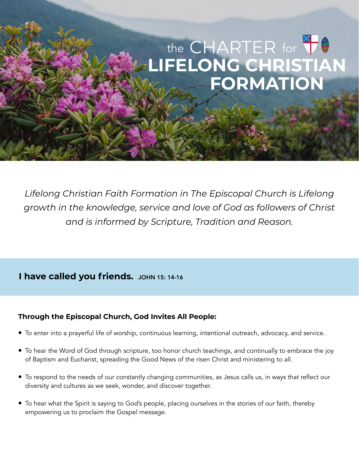# the CHARTER for **LIFELONG CHRISTIAN FORMATION**

*Lifelong Christian Faith Formation in The Episcopal Church is Lifelong growth in the knowledge, service and love of God as followers of Christ and is informed by Scripture, Tradition and Reason.* 

### **I have called you friends.** JOHN 15: 14-16

#### **Through the Episcopal Church, God Invites All People:**

- To enter into a prayerful life of worship, continuous learning, intentional outreach, advocacy, and service.
- To hear the Word of God through scripture, too honor church teachings, and continually to embrace the joy of Baptism and Eucharist, spreading the Good News of the risen Christ and ministering to all.
- To respond to the needs of our constantly changing communities, as Jesus calls us, in ways that reflect our diversity and cultures as we seek, wonder, and discover together.
- To hear what the Spirit is saying to God's people, placing ourselves in the stories of our faith, thereby empowering us to proclaim the Gospel message.